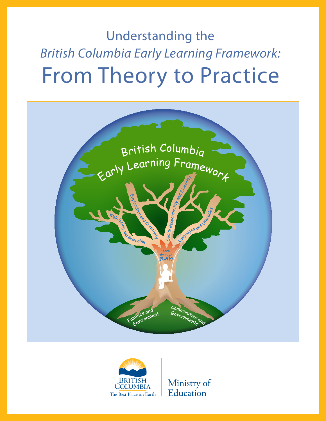Understanding the *British Columbia Early Learning Framework:* From Theory to Practice





Ministry of Education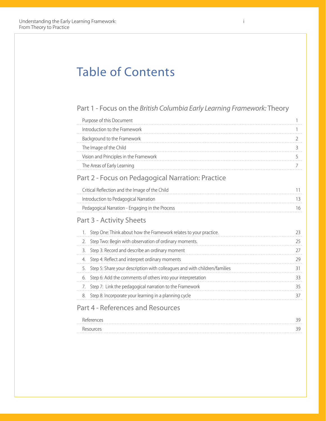## Table of Contents

#### Part 1 - Focus on the *British Columbia Early Learning Framework:* Theory

| Purpose of this Document               |  |
|----------------------------------------|--|
| Introduction to the Framework          |  |
| Background to the Framework            |  |
| The Image of the Child                 |  |
| Vision and Principles in the Framework |  |
| The Areas of Early Learning            |  |
|                                        |  |

### Part 2 - Focus on Pedagogical Narration: Practice

| Critical Reflection and the Image of the Child  |     |
|-------------------------------------------------|-----|
| Introduction to Pedagogical Narration           |     |
| Pedagogical Narration - Engaging in the Process | 16. |

### Part 3 - Activity Sheets

| 1. Step One: Think about how the Framework relates to your practice.         |    |
|------------------------------------------------------------------------------|----|
| 2. Step Two: Begin with observation of ordinary moments.                     |    |
| 3. Step 3: Record and describe an ordinary moment                            |    |
| 4. Step 4: Reflect and interpret ordinary moments                            |    |
| 5. Step 5: Share your description with colleagues and with children/families |    |
| 6. Step 6: Add the comments of others into your interpretation               |    |
| 7. Step 7: Link the pedagogical narration to the Framework                   | 35 |
| 8. Step 8: Incorporate your learning in a planning cycle                     |    |
|                                                                              |    |

### Part 4 - References and Resources

| References | າດ |
|------------|----|
| .          |    |
| Resources  | 30 |
| .          |    |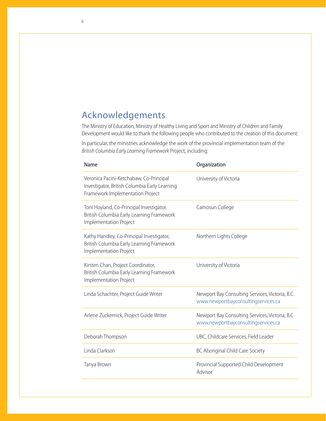## Acknowledgements

The Ministry of Education, Ministry of Healthy Living and Sport and Ministry of Children and Family Development would like to thank the following people who contributed to the creation of this document.

In particular, the ministries acknowledge the work of the provincial implementation team of the *British Columbia Early Learning Framework* Project, including:

| Name                                                                                                                         | Organization                                                                           |
|------------------------------------------------------------------------------------------------------------------------------|----------------------------------------------------------------------------------------|
| Veronica Pacini-Ketchabaw, Co-Principal<br>Investigator, British Columbia Early Learning<br>Framework Implementation Project | University of Victoria                                                                 |
| Toni Hoyland, Co-Principal Investigator,<br>British Columbia Early Learning Framework<br>Implementation Project              | Camosun College                                                                        |
| Kathy Handley, Co-Principal Investigator,<br>British Columbia Early Learning Framework<br>Implementation Project             | Northern Lights College                                                                |
| Kirsten Chan, Project Coordinator,<br>British Columbia Early Learning Framework<br>Implementation Project                    | University of Victoria                                                                 |
| Linda Schachter, Project Guide Writer                                                                                        | Newport Bay Consulting Services, Victoria, B.C.<br>www.newportbayconsultingservices.ca |
| Arlene Zuckernick, Project Guide Writer                                                                                      | Newport Bay Consulting Services, Victoria, B.C.<br>www.newportbayconsultingservices.ca |
| Deborah Thompson                                                                                                             | UBC, Childcare Services, Field Leader                                                  |
| Linda Clarkson                                                                                                               | BC Aboriginal Child Care Society                                                       |
| Tanya Brown                                                                                                                  | Provincial Supported Child Development<br>Advisor                                      |
|                                                                                                                              |                                                                                        |

ii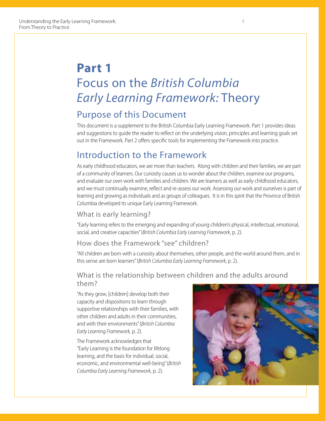## **Part 1** Focus on the *British Columbia Early Learning Framework:* Theory

## Purpose of this Document

This document is a supplement to the British Columbia Early Learning Framework. Part 1 provides ideas and suggestions to guide the reader to reflect on the underlying vision, principles and learning goals set out in the Framework. Part 2 offers specific tools for implementing the Framework into practice.

## Introduction to the Framework

As early childhood educators, we are more than teachers. Along with children and their families, we are part of a community of learners. Our curiosity causes us to wonder about the children, examine our programs, and evaluate our own work with families and children. We are learners as well as early childhood educators, and we must continually examine, reflect and re-assess our work. Assessing our work and ourselves is part of learning and growing as individuals and as groups of colleagues. It is in this spirit that the Province of British Columbia developed its unique Early Learning Framework.

#### What is early learning?

"Early learning refers to the emerging and expanding of young children's physical, intellectual, emotional, social, and creative capacities" (*British Columbia Early Learning Framework*, p. 2).

#### How does the Framework "see" children?

"All children are born with a curiosity about themselves, other people, and the world around them, and in this sense are born learners" (*British Columbia Early Learning Framework*, p. 2).

### What is the relationship between children and the adults around them?

"As they grow, [children] develop both their capacity and dispositions to learn through supportive relationships with their families, with other children and adults in their communities, and with their environments" (*British Columbia Early Learning Framework,* p. 2).

The Framework acknowledges that "Early Learning is the foundation for lifelong learning, and the basis for individual, social, economic, and environmental well-being" (*British Columbia Early Learning Framework,* p. 2).

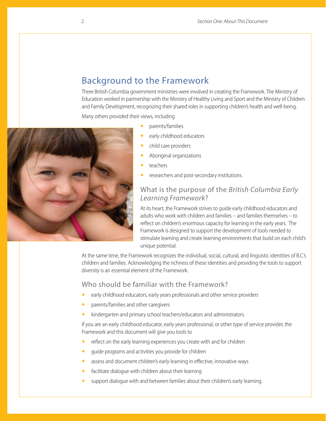### Background to the Framework

Three British Columbia government ministries were involved in creating the Framework. The Ministry of Education worked in partnership with the Ministry of Healthy Living and Sport and the Ministry of Children and Family Development, recognizing their shared roles in supporting children's health and well-being.

Many others provided their views, including

- y parents/families
- early childhood educators
- child care providers
- Aboriginal organizations
- teachers
- researchers and post-secondary institutions.

#### What is the purpose of the *British Columbia Early Learning Framework*?

At its heart, the Framework strives to guide early childhood educators and adults who work with children and families – and families themselves – to reflect on children's enormous capacity for learning in the early years. The Framework is designed to support the development of tools needed to stimulate learning and create learning environments that build on each child's unique potential.

At the same time, the Framework recognizes the individual, social, cultural, and linguistic identities of B.C.'s children and families. Acknowledging the richness of these identities and providing the tools to support diversity is an essential element of the Framework.

#### Who should be familiar with the Framework?

- early childhood educators, early years professionals and other service providers
- parents/families and other caregivers
- kindergarten and primary school teachers/educators and administrators.

If you are an early childhood educator, early years professional, or other type of service provider, the Framework and this document will give you tools to

- reflect on the early learning experiences you create with and for children
- guide programs and activities you provide for children
- assess and document children's early learning in effective, innovative ways
- facilitate dialogue with children about their learning
- support dialogue with and between families about their children's early learning.

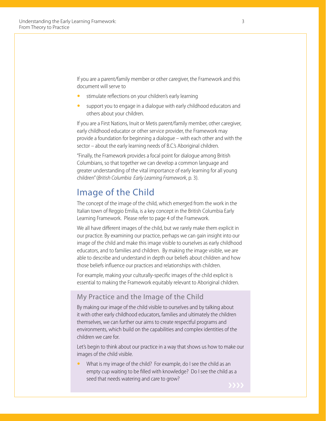If you are a parent/family member or other caregiver, the Framework and this document will serve to

- stimulate reflections on your children's early learning
- support you to engage in a dialogue with early childhood educators and others about your children.

If you are a First Nations, Inuit or Metis parent/family member, other caregiver, early childhood educator or other service provider, the Framework may provide a foundation for beginning a dialogue – with each other and with the sector – about the early learning needs of B.C.'s Aboriginal children.

"Finally, the Framework provides a focal point for dialogue among British Columbians, so that together we can develop a common language and greater understanding of the vital importance of early learning for all young children" (*British Columbia Early Learning Framework*, p. 3).

### Image of the Child

The concept of the image of the child, which emerged from the work in the Italian town of Reggio Emilia, is a key concept in the British Columbia Early Learning Framework. Please refer to page 4 of the Framework.

We all have different images of the child, but we rarely make them explicit in our practice. By examining our practice, perhaps we can gain insight into our image of the child and make this image visible to ourselves as early childhood educators, and to families and children. By making the image visible, we are able to describe and understand in depth our beliefs about children and how those beliefs influence our practices and relationships with children.

For example, making your culturally-specific images of the child explicit is essential to making the Framework equitably relevant to Aboriginal children.

#### My Practice and the Image of the Child

By making our image of the child visible to ourselves and by talking about it with other early childhood educators, families and ultimately the children themselves, we can further our aims to create respectful programs and environments, which build on the capabilities and complex identities of the children we care for.

Let's begin to think about our practice in a way that shows us how to make our images of the child visible.

What is my image of the child? For example, do I see the child as an empty cup waiting to be filled with knowledge? Do I see the child as a seed that needs watering and care to grow?

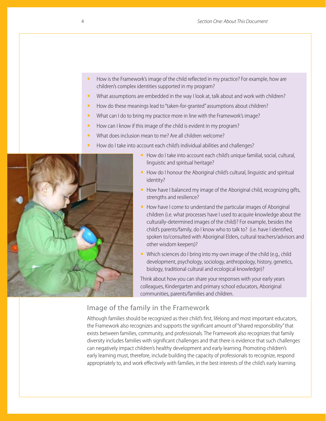- How is the Framework's image of the child reflected in my practice? For example, how are children's complex identities supported in my program?
- What assumptions are embedded in the way I look at, talk about and work with children?
- How do these meanings lead to "taken-for-granted" assumptions about children?
- What can I do to bring my practice more in line with the Framework's image?
- How can I know if this image of the child is evident in my program?
- What does inclusion mean to me? Are all children welcome?
- How do I take into account each child's individual abilities and challenges?



- y How do I take into account each child's unique familial, social, cultural, linguistic and spiritual heritage?
- How do I honour the Aboriginal child's cultural, linguistic and spiritual identity?
- How have I balanced my image of the Aboriginal child, recognizing gifts, strengths and resilience?
- How have I come to understand the particular images of Aboriginal children (i.e. what processes have I used to acquire knowledge about the culturally-determined images of the child)? For example, besides the child's parents/family, do I know who to talk to? (i.e. have I identified, spoken to/consulted with Aboriginal Elders, cultural teachers/advisors and other wisdom keepers)?
- Which sciences do I bring into my own image of the child (e.g., child development, psychology, sociology, anthropology, history, genetics, biology, traditional cultural and ecological knowledge)?

Think about how you can share your responses with your early years colleagues, Kindergarten and primary school educators, Aboriginal communities, parents/families and children.

#### Image of the family in the Framework

Although families should be recognized as their child's first, lifelong and most important educators, the Framework also recognizes and supports the significant amount of "shared responsibility" that exists between families, community, and professionals. The Framework also recognizes that family diversity includes families with significant challenges and that there is evidence that such challenges can negatively impact children's healthy development and early learning. Promoting children's early learning must, therefore, include building the capacity of professionals to recognize, respond appropriately to, and work effectively with families, in the best interests of the child's early learning.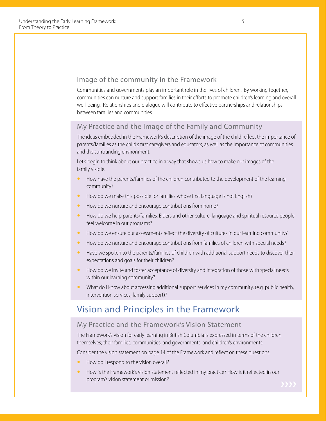#### Image of the community in the Framework

Communities and governments play an important role in the lives of children. By working together, communities can nurture and support families in their efforts to promote children's learning and overall well-being. Relationships and dialogue will contribute to effective partnerships and relationships between families and communities.

#### My Practice and the Image of the Family and Community

The ideas embedded in the Framework's description of the image of the child reflect the importance of parents/families as the child's first caregivers and educators, as well as the importance of communities and the surrounding environment.

Let's begin to think about our practice in a way that shows us how to make our images of the family visible.

- How have the parents/families of the children contributed to the development of the learning community?
- How do we make this possible for families whose first language is not English?
- How do we nurture and encourage contributions from home?
- How do we help parents/families, Elders and other culture, language and spiritual resource people feel welcome in our programs?
- How do we ensure our assessments reflect the diversity of cultures in our learning community?
- How do we nurture and encourage contributions from families of children with special needs?
- Have we spoken to the parents/families of children with additional support needs to discover their expectations and goals for their children?
- How do we invite and foster acceptance of diversity and integration of those with special needs within our learning community?
- What do I know about accessing additional support services in my community, (e.g. public health, intervention services, family support)?

### Vision and Principles in the Framework

#### My Practice and the Framework's Vision Statement

The Framework's vision for early learning in British Columbia is expressed in terms of the children themselves; their families, communities, and governments; and children's environments.

Consider the vision statement on page 14 of the Framework and reflect on these questions:

- How do I respond to the vision overall?
- How is the Framework's vision statement reflected in my practice? How is it reflected in our program's vision statement or mission? ❯❯❯❯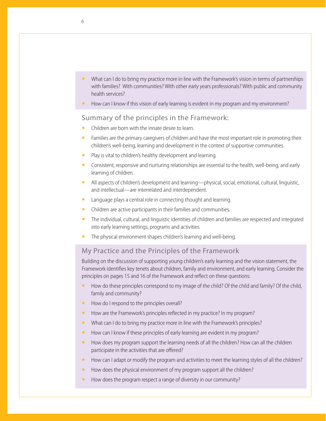- What can I do to bring my practice more in line with the Framework's vision in terms of partnerships with families? With communities? With other early years professionals? With public and community health services?
- How can I know if this vision of early learning is evident in my program and my environment?

#### Summary of the principles in the Framework:

- Children are born with the innate desire to learn.
- Families are the primary caregivers of children and have the most important role in promoting their children's well-being, learning and development in the context of supportive communities.
- Play is vital to children's healthy development and learning.
- Consistent, responsive and nurturing relationships are essential to the health, well-being, and early learning of children.
- All aspects of children's development and learning—physical, social, emotional, cultural, linguistic, and intellectual—are interrelated and interdependent.
- Language plays a central role in connecting thought and learning.
- Children are active participants in their families and communities.
- The individual, cultural, and linguistic identities of children and families are respected and integrated into early learning settings, programs and activities.
- The physical environment shapes children's learning and well-being.

#### My Practice and the Principles of the Framework

Building on the discussion of supporting young children's early learning and the vision statement, the Framework identifies key tenets about children, family and environment, and early learning. Consider the principles on pages 15 and 16 of the Framework and reflect on these questions:

- How do these principles correspond to my image of the child? Of the child and family? Of the child, family and community?
- How do I respond to the principles overall?
- How are the Framework's principles reflected in my practice? In my program?
- What can I do to bring my practice more in line with the Framework's principles?
- How can I know if these principles of early learning are evident in my program?
- How does my program support the learning needs of all the children? How can all the children participate in the activities that are offered?
- How can I adapt or modify the program and activities to meet the learning styles of all the children?
- How does the physical environment of my program support all the children?
- How does the program respect a range of diversity in our community?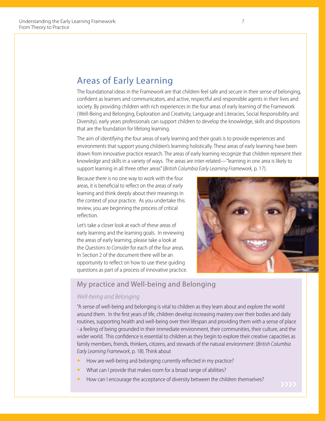### Areas of Early Learning

The foundational ideas in the Framework are that children feel safe and secure in their sense of belonging, confident as learners and communicators, and active, respectful and responsible agents in their lives and society. By providing children with rich experiences in the four areas of early learning of the Framework (Well-Being and Belonging, Exploration and Creativity, Language and Literacies, Social Responsibility and Diversity), early years professionals can support children to develop the knowledge, skills and dispositions that are the foundation for lifelong learning.

The aim of identifying the four areas of early learning and their goals is to provide experiences and environments that support young children's learning holistically. These areas of early learning have been drawn from innovative practice research. The areas of early learning recognize that children represent their knowledge and skills in a variety of ways. The areas are inter-related—"learning in one area is likely to support learning in all three other areas" (*British Columbia Early Learning Framework,* p. 17).

Because there is no one way to work with the four areas, it is beneficial to reflect on the areas of early learning and think deeply about their meanings in the context of your practice. As you undertake this review, you are beginning the process of critical reflection.

Let's take a closer look at each of these areas of early learning and the learning goals. In reviewing the areas of early learning, please take a look at the *Questions to Consider* for each of the four areas. In Section 2 of the document there will be an opportunity to reflect on how to use these guiding questions as part of a process of innovative practice.



#### My practice and Well-being and Belonging

#### *Well-being and Belonging*

"A sense of well-being and belonging is vital to children as they learn about and explore the world around them. In the first years of life, children develop increasing mastery over their bodies and daily routines, supporting health and well-being over their lifespan and providing them with a sense of place - a feeling of being grounded in their immediate environment, their communities, their culture, and the wider world. This confidence is essential to children as they begin to explore their creative capacities as family members, friends, thinkers, citizens, and stewards of the natural environment: (*British Columbia Early Learning Framework*, p. 18). Think about

- How are well-being and belonging currently reflected in my practice?
- What can I provide that makes room for a broad range of abilities?
- How can I encourage the acceptance of diversity between the children themselves?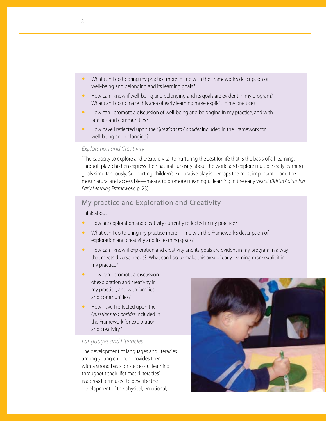- What can I do to bring my practice more in line with the Framework's description of well-being and belonging and its learning goals?
- How can I know if well-being and belonging and its goals are evident in my program? What can I do to make this area of early learning more explicit in my practice?
- **•** How can I promote a discussion of well-being and belonging in my practice, and with families and communities?
- y How have I reflected upon the *Questions to Consider* included in the Framework for well-being and belonging?

#### *Exploration and Creativity*

"The capacity to explore and create is vital to nurturing the zest for life that is the basis of all learning. Through play, children express their natural curiosity about the world and explore multiple early learning goals simultaneously. Supporting children's explorative play is perhaps the most important—and the most natural and accessible—means to promote meaningful learning in the early years." (*British Columbia Early Learning Framework,* p. 23).

#### My practice and Exploration and Creativity

Think about

- How are exploration and creativity currently reflected in my practice?
- What can I do to bring my practice more in line with the Framework's description of exploration and creativity and its learning goals?
- How can I know if exploration and creativity and its goals are evident in my program in a way that meets diverse needs? What can I do to make this area of early learning more explicit in my practice?
- How can I promote a discussion of exploration and creativity in my practice, and with families and communities?
- How have I reflected upon the *Questions to Consider* included in the Framework for exploration and creativity?

#### *Languages and Literacies*

The development of languages and literacies among young children provides them with a strong basis for successful learning throughout their lifetimes. 'Literacies' is a broad term used to describe the development of the physical, emotional,

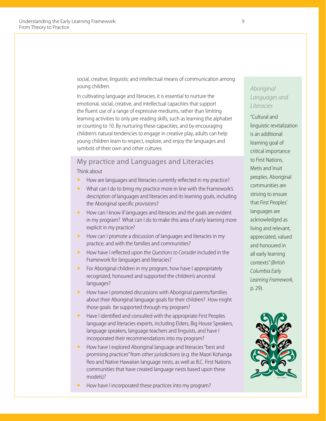social, creative, linguistic and intellectual means of communication among young children.

In cultivating language and literacies, it is essential to nurture the emotional, social, creative, and intellectual capacities that support the fluent use of a range of expressive mediums, rather than limiting learning activities to only pre-reading skills, such as learning the alphabet or counting to 10. By nurturing these capacities, and by encouraging children's natural tendencies to engage in creative play, adults can help young children learn to respect, explore, and enjoy the languages and symbols of their own and other cultures.

#### My practice and Languages and Literacies

Think about

- How are languages and literacies currently reflected in my practice?
- What can I do to bring my practice more in line with the Framework's description of languages and literacies and its learning goals, including the Aboriginal specific provisions?
- How can I know if languages and literacies and the goals are evident in my program? What can I do to make this area of early learning more explicit in my practice?
- How can I promote a discussion of languages and literacies in my practice, and with the families and communities?
- How have I reflected upon the *Questions to Consider* included in the Framework for languages and literacies?
- For Aboriginal children in my program, how have I appropriately recognized, honoured and supported the children's ancestral languages?
- How have I promoted discussions with Aboriginal parents/families about their Aboriginal language goals for their children? How might those goals be supported through my program?
- Have I identified and consulted with the appropriate First Peoples language and literacies experts, including Elders, Big House Speakers, language speakers, language teachers and linguists, and have I incorporated their recommendations into my program?
- How have I explored Aboriginal language and literacies "best and promising practices" from other jurisdictions (e.g. the Maori Kohanga Reo and Native Hawaiian language nests, as well as B.C. First Nations communities that have created language nests based upon these models)?
- How have I incorporated these practices into my program?

#### *Aboriginal Languages and Literacies*

"Cultural and linguistic revitalization is an additional learning goal of critical importance to First Nations, Metis and Inuit peoples. Aboriginal communities are striving to ensure that First Peoples' languages are acknowledged as living and relevant, appreciated, valued and honoured in all early learning contexts" *(British Columbia Early Learning Framework*, p. 29).

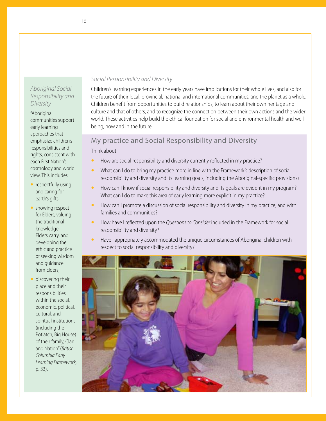#### *Aboriginal Social Responsibility and Diversity*

"Aboriginal communities support early learning approaches that emphasize children's responsibilities and rights, consistent with each First Nation's cosmology and world view. This includes:

- $\bullet$  respectfully using and caring for earth's gifts;
- $\bullet$  showing respect for Elders, valuing the traditional knowledge Elders carry, and developing the ethic and practice of seeking wisdom and guidance from Elders;
- $\bullet$  discovering their place and their responsibilities within the social, economic, political, cultural, and spiritual institutions (including the Potlatch, Big House) of their family, Clan and Nation" (*British Columbia Early Learning Framework,*  p. 33).

#### *Social Responsibility and Diversity*

Children's learning experiences in the early years have implications for their whole lives, and also for the future of their local, provincial, national and international communities, and the planet as a whole. Children benefit from opportunities to build relationships, to learn about their own heritage and culture and that of others, and to recognize the connection between their own actions and the wider world. These activities help build the ethical foundation for social and environmental health and wellbeing, now and in the future.

#### My practice and Social Responsibility and Diversity

Think about

- How are social responsibility and diversity currently reflected in my practice?
- What can I do to bring my practice more in line with the Framework's description of social responsibility and diversity and its learning goals, including the Aboriginal-specific provisions?
- How can I know if social responsibility and diversity and its goals are evident in my program? What can I do to make this area of early learning more explicit in my practice?
- How can I promote a discussion of social responsibility and diversity in my practice, and with families and communities?
- y How have I reflected upon the *Questions to Consider* included in the Framework for social responsibility and diversity?
- Have I appropriately accommodated the unique circumstances of Aboriginal children with respect to social responsibility and diversity?

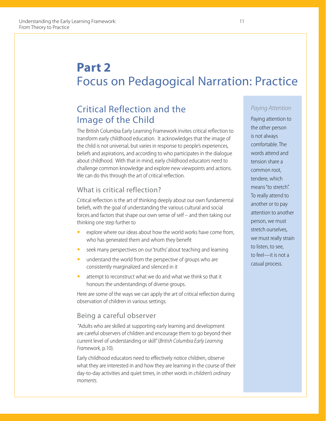## **Part 2** Focus on Pedagogical Narration: Practice

## Critical Reflection and the Image of the Child

The British Columbia Early Learning Framework invites critical reflection to transform early childhood education. It acknowledges that the image of the child is not universal, but varies in response to people's experiences, beliefs and aspirations, and according to who participates in the dialogue about childhood. With that in mind, early childhood educators need to challenge common knowledge and explore new viewpoints and actions. We can do this through the art of critical reflection.

### What is critical reflection?

Critical reflection is the art of thinking deeply about our own fundamental beliefs, with the goal of understanding the various cultural and social forces and factors that shape our own sense of self – and then taking our thinking one step further to

- explore where our ideas about how the world works have come from, who has generated them and whom they benefit
- seek many perspectives on our 'truths' about teaching and learning
- $\bullet$  understand the world from the perspective of groups who are consistently marginalized and silenced in it
- attempt to reconstruct what we do and what we think so that it honours the understandings of diverse groups.

Here are some of the ways we can apply the art of critical reflection during observation of children in various settings.

#### Being a careful observer

 "Adults who are skilled at supporting early learning and development are careful observers of children and encourage them to go beyond their current level of understanding or skill" (*British Columbia Early Learning Framework,* p.10).

Early childhood educators need to effectively notice children, observe what they are interested in and how they are learning in the course of their day-to-day activities and quiet times, in other words in *children's ordinary moments*.

#### *Paying Attention*

Paying attention to the other person is not always comfortable. The words attend and tension share a common root, tendere, which means "to stretch". To really attend to another or to pay attention to another person, we must stretch ourselves, we must really strain to listen, to see, to feel—it is not a casual process.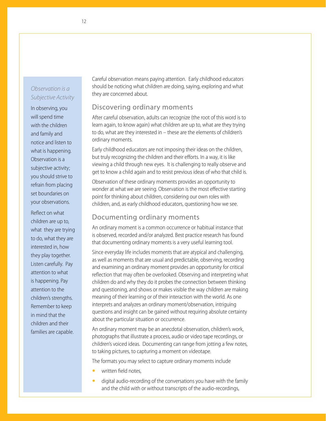#### *Observation is a Subjective Activity*

In observing, you will spend time with the children and family and notice and listen to what is happening. Observation is a subjective activity; you should strive to refrain from placing set boundaries on your observations.

Reflect on what children are up to, what they are trying to do, what they are interested in, how they play together. Listen carefully. Pay attention to what is happening. Pay attention to the children's strengths. Remember to keep in mind that the children and their families are capable.

Careful observation means paying attention. Early childhood educators should be noticing what children are doing, saying, exploring and what they are concerned about.

#### Discovering ordinary moments

After careful observation, adults can recognize (the root of this word is to learn again, to know again) what children are up to, what are they trying to do, what are they interested in – these are the elements of children's ordinary moments.

Early childhood educators are not imposing their ideas on the children, but truly recognizing the children and their efforts. In a way, it is like viewing a child through new eyes. It is challenging to really observe and get to know a child again and to resist previous ideas of who that child is.

Observation of these ordinary moments provides an opportunity to wonder at what we are seeing. Observation is the most effective starting point for thinking about children, considering our own roles with children, and, as early childhood educators, questioning how we see.

#### Documenting ordinary moments

An ordinary moment is a common occurrence or habitual instance that is observed, recorded and/or analyzed. Best practice research has found that documenting ordinary moments is a very useful learning tool.

Since everyday life includes moments that are atypical and challenging, as well as moments that are usual and predictable, observing, recording and examining an ordinary moment provides an opportunity for critical reflection that may often be overlooked. Observing and interpreting what children do and why they do it probes the connection between thinking and questioning, and shows or makes visible the way children are making meaning of their learning or of their interaction with the world. As one interprets and analyzes an ordinary moment/observation, intriguing questions and insight can be gained without requiring absolute certainty about the particular situation or occurrence.

An ordinary moment may be an anecdotal observation, children's work, photographs that illustrate a process, audio or video tape recordings, or children's voiced ideas. Documenting can range from jotting a few notes, to taking pictures, to capturing a moment on videotape.

The formats you may select to capture ordinary moments include

- written field notes,
- digital audio-recording of the conversations you have with the family and the child with or without transcripts of the audio-recordings,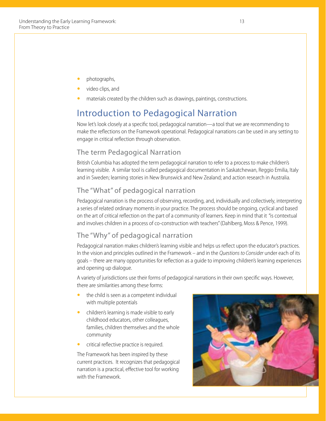- photographs,
- video clips, and
- materials created by the children such as drawings, paintings, constructions.

## Introduction to Pedagogical Narration

Now let's look closely at a specific tool, pedagogical narration—a tool that we are recommending to make the reflections on the Framework operational. Pedagogical narrations can be used in any setting to engage in critical reflection through observation.

#### The term Pedagogical Narration

British Columbia has adopted the term pedagogical narration to refer to a process to make children's learning visible. A similar tool is called pedagogical documentation in Saskatchewan, Reggio Emilia, Italy and in Sweden; learning stories in New Brunswick and New Zealand; and action research in Australia.

#### The "What" of pedagogical narration

Pedagogical narration is the process of observing, recording, and, individually and collectively, interpreting a series of related ordinary moments in your practice. The process should be ongoing, cyclical and based on the art of critical reflection on the part of a community of learners. Keep in mind that it "is contextual and involves children in a process of co-construction with teachers" (Dahlberg, Moss & Pence, 1999).

#### The "Why" of pedagogical narration

Pedagogical narration makes children's learning visible and helps us reflect upon the educator's practices. In the vision and principles outlined in the Framework – and in the *Questions to Consider* under each of its goals – there are many opportunities for reflection as a guide to improving children's learning experiences and opening up dialogue.

A variety of jurisdictions use their forms of pedagogical narrations in their own specific ways. However, there are similarities among these forms:

- the child is seen as a competent individual with multiple potentials
- children's learning is made visible to early childhood educators, other colleagues, families, children themselves and the whole community
- critical reflective practice is required.

The Framework has been inspired by these current practices. It recognizes that pedagogical narration is a practical, effective tool for working with the Framework.

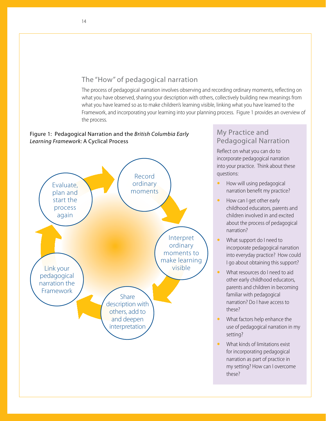#### The "How" of pedagogical narration

The process of pedagogical narration involves observing and recording ordinary moments, reflecting on what you have observed, sharing your description with others, collectively building new meanings from what you have learned so as to make children's learning visible, linking what you have learned to the Framework, and incorporating your learning into your planning process. Figure 1 provides an overview of the process.

#### Figure 1: Pedagogical Narration and the *British Columbia Early Learning Framework:* A Cyclical Process



#### My Practice and Pedagogical Narration

Reflect on what you can do to incorporate pedagogical narration into your practice. Think about these questions:

- $\bullet$  How will using pedagogical narration benefit my practice?
- How can I get other early childhood educators, parents and children involved in and excited about the process of pedagogical narration?
- What support do I need to incorporate pedagogical narration into everyday practice? How could I go about obtaining this support?
- What resources do I need to aid other early childhood educators, parents and children in becoming familiar with pedagogical narration? Do I have access to these?
- What factors help enhance the use of pedagogical narration in my setting?
- $\bullet$  What kinds of limitations exist for incorporating pedagogical narration as part of practice in my setting? How can I overcome these?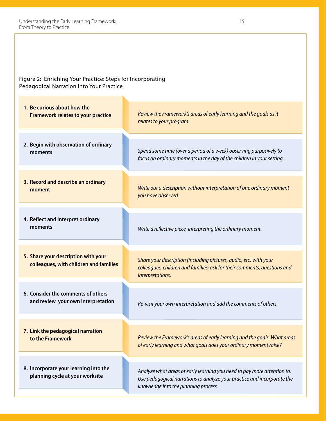Figure 2: Enriching Your Practice: Steps for Incorporating Pedagogical Narration into Your Practice

**8. Incorporate your learning into the planning cycle at your worksite 7. Link the pedagogical narration to the Framework 6. Consider the comments of others and review your own interpretation 2. Begin with observation of ordinary moments 3. Record and describe an ordinary moment 4. Reflect and interpret ordinary moments 5. Share your description with your colleagues, with children and families 1. Be curious about how the Framework relates to your practice** *Review the Framework's areas of early learning and the goals as it relates to your program. Spend some time (over a period of a week) observing purposively to focus on ordinary moments in the day of the children in your setting. Write out a description without interpretation of one ordinary moment you have observed. Write a reflective piece, interpreting the ordinary moment. Share your description (including pictures, audio, etc) with your colleagues, children and families; ask for their comments, questions and interpretations. Re-visit your own interpretation and add the comments of others. Review the Framework's areas of early learning and the goals. What areas of early learning and what goals does your ordinary moment raise? Analyze what areas of early learning you need to pay more attention to. Use pedagogical narrations to analyze your practice and incorporate the knowledge into the planning process.*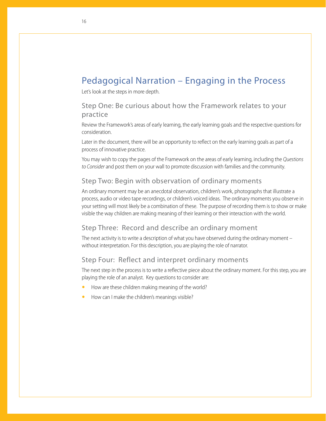## Pedagogical Narration – Engaging in the Process

Let's look at the steps in more depth.

#### Step One: Be curious about how the Framework relates to your practice

Review the Framework's areas of early learning, the early learning goals and the respective questions for consideration.

Later in the document, there will be an opportunity to reflect on the early learning goals as part of a process of innovative practice.

You may wish to copy the pages of the Framework on the areas of early learning, including the *Questions to Consider* and post them on your wall to promote discussion with families and the community.

#### Step Two: Begin with observation of ordinary moments

An ordinary moment may be an anecdotal observation, children's work, photographs that illustrate a process, audio or video tape recordings, or children's voiced ideas. The ordinary moments you observe in your setting will most likely be a combination of these. The purpose of recording them is to show or make visible the way children are making meaning of their learning or their interaction with the world.

#### Step Three: Record and describe an ordinary moment

The next activity is to write a description of what you have observed during the ordinary moment – without interpretation. For this description, you are playing the role of narrator.

#### Step Four: Reflect and interpret ordinary moments

The next step in the process is to write a reflective piece about the ordinary moment. For this step, you are playing the role of an analyst. Key questions to consider are:

- How are these children making meaning of the world?
- How can I make the children's meanings visible?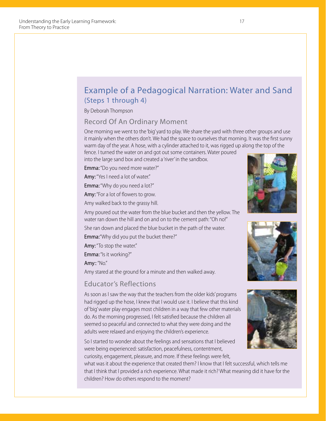

what was it about the experience that created them? I know that I felt successful, which tells me that I think that I provided a rich experience. What made it rich? What meaning did it have for the children? How do others respond to the moment?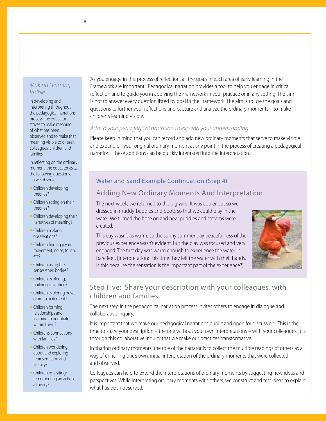#### *Making Learning Visible*

In developing and interpreting throughout the pedagogical narrations process, the educator strives to make meaning of what has been observed and to make that meaning visible to oneself, colleagues, children and families.

In reflecting on the ordinary moment, the educator asks. the following questions. Do we observe

- $\bullet$  Children developing theories?
- $\bullet$  Children acting on their theories?
- $\bullet$  Children developing their narratives of meaning?
- $\bullet$  Children making observations?
- Children finding joy in movement, noise, touch, etc?
- $\bullet$  Children using their senses/their bodies?
- Children exploring, building, inventing?
- Children exploring power, drama, excitement?
- $\bullet$  Children forming relationships and learning to negotiate within them?
- Children's connections with families?
- Children wondering about and exploring representation and literacy?
- Children re-visiting/ remembering an action, a theory?

As you engage in this process of reflection, all the goals in each area of early learning in the Framework are important. Pedagogical narration provides a tool to help you engage in critical reflection and to guide you in applying the Framework in your practice or in any setting. The aim is not to answer every question listed by goal in the Framework. The aim is to use the goals and questions to further your reflections and capture and analyze the ordinary moments – to make children's learning visible.

#### *Add to your pedagogical narration to expand your understanding*

Please keep in mind that you can record and add new ordinary moments that serve to make visible and expand on your original ordinary moment at any point in the process of creating a pedagogical narration. These additions can be quickly integrated into the interpretation.

### Water and Sand Example Continuation (Step 4)

### Adding New Ordinary Moments And Interpretation

The next week, we returned to the big yard. It was cooler out so we dressed in muddy-buddies and boots so that we could play in the water. We turned the hose on and new puddles and streams were created.

This day wasn't as warm, so the sunny summer day peacefulness of the previous experience wasn't evident. But the play was focused and very engaged. The first day was warm enough to experience the water in bare feet. [Interpretation: This time they felt the water with their hands. Is this because the sensation is the important part of the experience?]



#### Step Five: Share your description with your colleagues, with children and families

The next step in the pedagogical narration process invites others to engage in dialogue and collaborative inquiry.

It is important that we make our pedagogical narrations public and open for discussion. This is the time to share your description – the one without your own interpretations – with your colleagues. It is through this collaborative inquiry that we make our practices transformative.

In sharing ordinary moments, the role of the narrator is to collect the multiple readings of others as a way of enriching one's own, initial interpretation of the ordinary moments that were collected and observed.

Colleagues can help to extend the interpretations of ordinary moments by suggesting new ideas and perspectives. While interpreting ordinary moments with others, we construct and test ideas to explain what has been observed.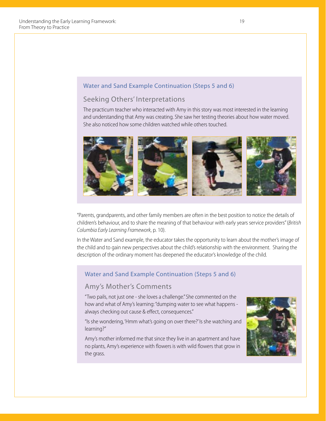#### Water and Sand Example Continuation (Steps 5 and 6)

#### Seeking Others' Interpretations

The practicum teacher who interacted with Amy in this story was most interested in the learning and understanding that Amy was creating. She saw her testing theories about how water moved. She also noticed how some children watched while others touched.



"Parents, grandparents, and other family members are often in the best position to notice the details of children's behaviour, and to share the meaning of that behaviour with early years service providers" (*British Columbia Early Learning Framework*, p. 10).

In the Water and Sand example, the educator takes the opportunity to learn about the mother's image of the child and to gain new perspectives about the child's relationship with the environment. Sharing the description of the ordinary moment has deepened the educator's knowledge of the child.

#### Water and Sand Example Continuation (Steps 5 and 6)

#### Amy's Mother's Comments

"Two pails, not just one - she loves a challenge." She commented on the how and what of Amy's learning: "dumping water to see what happens always checking out cause & effect, consequences."

"Is she wondering, 'Hmm what's going on over there?' Is she watching and learning?"

Amy's mother informed me that since they live in an apartment and have no plants, Amy's experience with flowers is with wild flowers that grow in the grass.

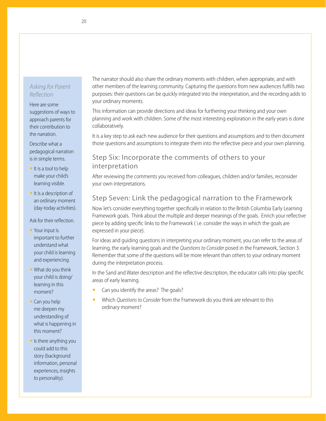#### *Asking for Parent Reflection*

Here are some suggestions of ways to approach parents for their contribution to the narration.

Describe what a pedagogical narration is in simple terms.

- $\bullet$  It is a tool to help make your child's learning visible.
- $\bullet$  It is a description of an ordinary moment (day-today activities).

#### Ask for their reflection.

- Your input is important to further understand what your child is learning and experiencing.
- $\bullet$  What do you think your child is doing/ learning in this moment?
- $\bullet$  Can you help me deepen my understanding of what is happening in this moment?
- $\bullet$  Is there anything you could add to this story (background information, personal experiences, insights to personality).

The narrator should also share the ordinary moments with children, when appropriate, and with other members of the learning community. Capturing the questions from new audiences fulfills two purposes: their questions can be quickly integrated into the interpretation, and the recording adds to your ordinary moments.

This information can provide directions and ideas for furthering your thinking and your own planning and work with children. Some of the most interesting exploration in the early years is done collaboratively.

It is a key step to ask each new audience for their questions and assumptions and to then document those questions and assumptions to integrate them into the reflective piece and your own planning.

#### Step Six: Incorporate the comments of others to your interpretation

After reviewing the comments you received from colleagues, children and/or families, reconsider your own interpretations.

### Step Seven: Link the pedagogical narration to the Framework

Now let's consider everything together specifically in relation to the British Columbia Early Learning Framework goals. Think about the multiple and deeper meanings of the goals. Enrich your reflective piece by adding specific links to the Framework ( i.e. consider the ways in which the goals are expressed in your piece).

For ideas and guiding questions in interpreting your ordinary moment, you can refer to the areas of learning, the early learning goals and the *Questions to Consider* posed in the Framework, Section 3. Remember that some of the questions will be more relevant than others to your ordinary moment during the interpretation process.

In the Sand and Water description and the reflective description, the educator calls into play specific areas of early learning.

- Can you identify the areas? The goals?
- y Which *Questions to Consider* from the Framework do you think are relevant to this ordinary moment?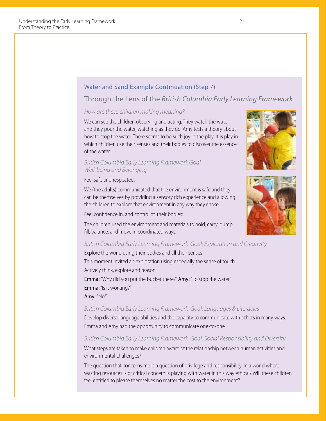#### Water and Sand Example Continuation (Step 7)

#### Through the Lens of the *British Columbia Early Learning Framework*

#### *How are these children making meaning?*

We can see the children observing and acting. They watch the water and they pour the water, watching as they do. Amy tests a theory about how to stop the water. There seems to be such joy in the play. It is play in which children use their senses and their bodies to discover the essence of the water.

#### *British Columbia Early Learning Framework Goal: Well-being and Belonging*

#### Feel safe and respected:

We (the adults) communicated that the environment is safe and they can be themselves by providing a sensory rich experience and allowing the children to explore that environment in any way they chose.

Feel confidence in, and control of, their bodies:





The children used the environment and materials to hold, carry, dump, fill, balance, and move in coordinated ways.

#### *British Columbia Early Learning Framework Goal: Exploration and Creativity*

Explore the world using their bodies and all their senses: This moment invited an exploration using especially the sense of touch. Actively think, explore and reason: Emma: "Why did you put the bucket there?" Amy: "To stop the water." Emma: "Is it working?"

Amy: "No."

#### *British Columbia Early Learning Framework Goal: Languages & Literacies*

Develop diverse language abilities and the capacity to communicate with others in many ways. Emma and Amy had the opportunity to communicate one-to-one.

#### *British Columbia Early Learning Framework Goal: Social Responsibility and Diversity*

What steps are taken to make children aware of the relationship between human activities and environmental challenges?

The question that concerns me is a question of privilege and responsibility. In a world where wasting resources is of critical concern is playing with water in this way ethical? Will these children feel entitled to please themselves no matter the cost to the environment?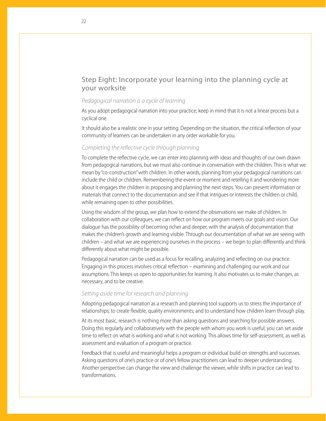#### Step Eight: Incorporate your learning into the planning cycle at your worksite

#### *Pedagogical narration is a cycle of learning*

As you adopt pedagogical narration into your practice, keep in mind that it is not a linear process but a cyclical one.

It should also be a realistic one in your setting. Depending on the situation, the critical reflection of your community of learners can be undertaken in any order workable for you.

#### *Completing the reflective cycle through planning*

To complete the reflective cycle, we can enter into planning with ideas and thoughts of our own drawn from pedagogical narrations, but we must also continue in conversation with the children. This is what we mean by "co-construction" with children. In other words, planning from your pedagogical narrations can include the child or children. Remembering the event or moment and retelling it and wondering more about it engages the children in proposing and planning the next steps. You can present information or materials that connect to the documentation and see if that intrigues or interests the children or child, while remaining open to other possibilities.

Using the wisdom of the group, we plan how to extend the observations we make of children. In collaboration with our colleagues, we can reflect on how our program meets our goals and vision. Our dialogue has the possibility of becoming richer and deeper, with the analysis of documentation that makes the children's growth and learning visible. Through our documentation of what we are seeing with children – and what we are experiencing ourselves in the process – we begin to plan differently and think differently about what might be possible.

Pedagogical narration can be used as a focus for recalling, analyzing and reflecting on our practice. Engaging in this process involves critical reflection – examining and challenging our work and our assumptions. This keeps us open to opportunities for learning. It also motivates us to make changes, as necessary, and to be creative.

#### *Setting aside time for research and planning*

Adopting pedagogical narration as a research and planning tool supports us to stress the importance of relationships; to create flexible, quality environments; and to understand how children learn through play.

At its most basic, research is nothing more than asking questions and searching for possible answers. Doing this regularly and collaboratively with the people with whom you work is useful; you can set aside time to reflect on what is working and what is not working. This allows time for self-assessment, as well as assessment and evaluation of a program or practice.

Feedback that is useful and meaningful helps a program or individual build on strengths and successes. Asking questions of one's practice or of one's fellow practitioners can lead to deeper understanding. Another perspective can change the view and challenge the viewer, while shifts in practice can lead to transformations.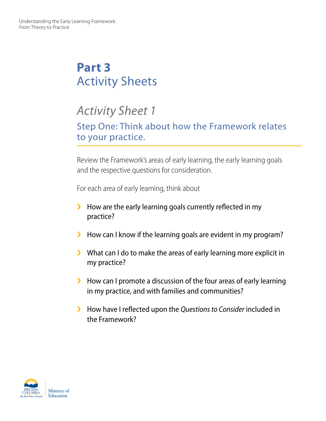## **Part 3** Activity Sheets

## *Activity Sheet 1*

Step One: Think about how the Framework relates to your practice.

Review the Framework's areas of early learning, the early learning goals and the respective questions for consideration.

For each area of early learning, think about

- $\blacktriangleright$  How are the early learning goals currently reflected in my practice?
- I How can I know if the learning goals are evident in my program?
- $\blacktriangleright$  What can I do to make the areas of early learning more explicit in my practice?
- $\blacktriangleright$  How can I promote a discussion of the four areas of early learning in my practice, and with families and communities?
- **▶ How have I reflected upon the** *Questions to Consider* **included in** the Framework?

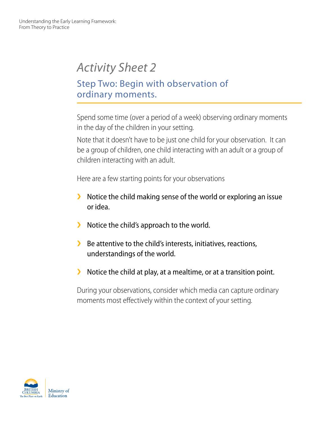## Step Two: Begin with observation of ordinary moments.

Spend some time (over a period of a week) observing ordinary moments in the day of the children in your setting.

Note that it doesn't have to be just one child for your observation. It can be a group of children, one child interacting with an adult or a group of children interacting with an adult.

Here are a few starting points for your observations

- $\blacktriangleright$  Notice the child making sense of the world or exploring an issue or idea.
- $\blacktriangleright$  Notice the child's approach to the world.
- $\blacktriangleright$  Be attentive to the child's interests, initiatives, reactions, understandings of the world.
- $\blacktriangleright$  Notice the child at play, at a mealtime, or at a transition point.

During your observations, consider which media can capture ordinary moments most effectively within the context of your setting.

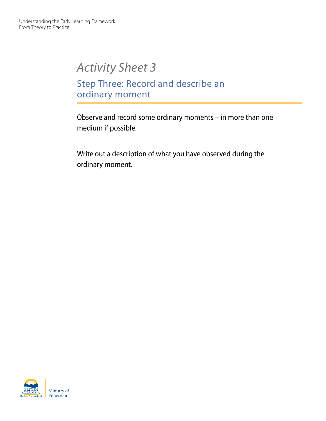## Step Three: Record and describe an ordinary moment

Observe and record some ordinary moments – in more than one medium if possible.

Write out a description of what you have observed during the ordinary moment.

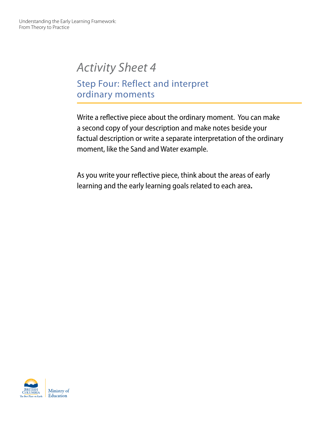Step Four: Reflect and interpret ordinary moments

Write a reflective piece about the ordinary moment. You can make a second copy of your description and make notes beside your factual description or write a separate interpretation of the ordinary moment, like the Sand and Water example.

As you write your reflective piece, think about the areas of early learning and the early learning goals related to each area**.**

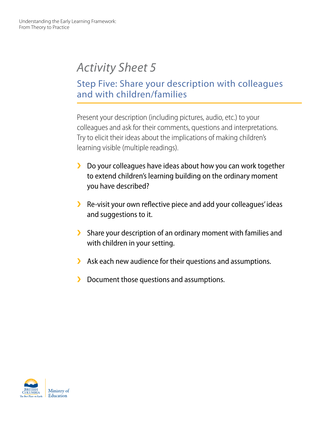## Step Five: Share your description with colleagues and with children/families

Present your description (including pictures, audio, etc.) to your colleagues and ask for their comments, questions and interpretations. Try to elicit their ideas about the implications of making children's learning visible (multiple readings).

- $\blacktriangleright$  Do your colleagues have ideas about how you can work together to extend children's learning building on the ordinary moment you have described?
- S Re-visit your own reflective piece and add your colleagues' ideas and suggestions to it.
- Share your description of an ordinary moment with families and with children in your setting.
- $\blacktriangleright$  Ask each new audience for their questions and assumptions.
- ▶ Document those questions and assumptions.

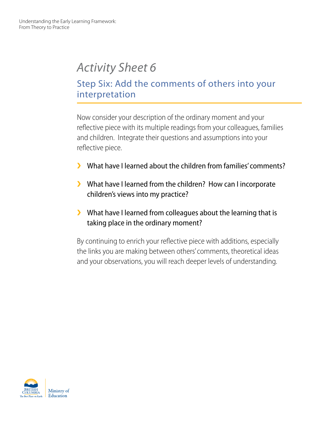## Step Six: Add the comments of others into your interpretation

Now consider your description of the ordinary moment and your reflective piece with its multiple readings from your colleagues, families and children. Integrate their questions and assumptions into your reflective piece.

- **▶** What have I learned about the children from families' comments?
- ▶ What have I learned from the children? How can I incorporate children's views into my practice?
- $\blacktriangleright$  What have I learned from colleagues about the learning that is taking place in the ordinary moment?

By continuing to enrich your reflective piece with additions, especially the links you are making between others' comments, theoretical ideas and your observations, you will reach deeper levels of understanding.

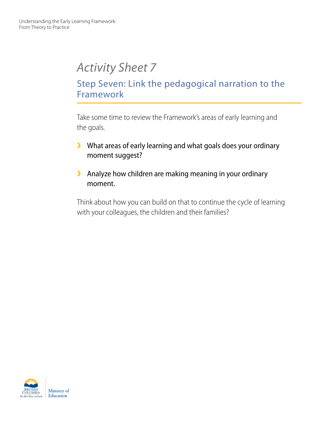## Step Seven: Link the pedagogical narration to the Framework

Take some time to review the Framework's areas of early learning and the goals.

- $\blacktriangleright$  What areas of early learning and what goals does your ordinary moment suggest?
- $\blacktriangleright$  Analyze how children are making meaning in your ordinary moment.

Think about how you can build on that to continue the cycle of learning with your colleagues, the children and their families?

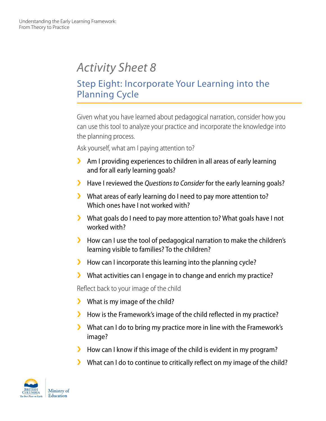## Step Eight: Incorporate Your Learning into the Planning Cycle

Given what you have learned about pedagogical narration, consider how you can use this tool to analyze your practice and incorporate the knowledge into the planning process.

Ask yourself, what am I paying attention to?

- $\blacktriangleright$  Am I providing experiences to children in all areas of early learning and for all early learning goals?
- **▶ Have I reviewed the** *Questions to Consider* **for the early learning goals?**
- $\blacktriangleright$  What areas of early learning do I need to pay more attention to? Which ones have I not worked with?
- $\blacktriangleright$  What goals do I need to pay more attention to? What goals have I not worked with?
- $\blacktriangleright$  How can I use the tool of pedagogical narration to make the children's learning visible to families? To the children?
- $\blacktriangleright$  How can I incorporate this learning into the planning cycle?
- $\blacktriangleright$  What activities can I engage in to change and enrich my practice?

Reflect back to your image of the child

- $\blacktriangleright$  What is my image of the child?
- $\blacktriangleright$  How is the Framework's image of the child reflected in my practice?
- $\blacktriangleright$  What can I do to bring my practice more in line with the Framework's image?
- $\blacktriangleright$  How can I know if this image of the child is evident in my program?
- $\blacktriangleright$  What can I do to continue to critically reflect on my image of the child?

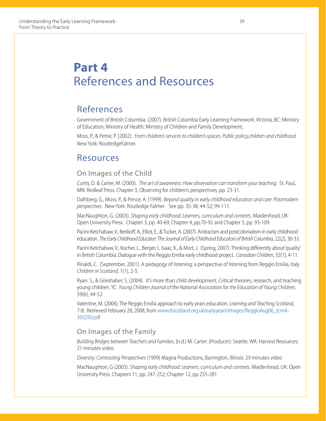## **Part 4** References and Resources

### References

Government of British Columbia. (2007). British Columbia Early Learning Framework. Victoria, BC: Ministry of Education; Ministry of Health; Ministry of Children and Family Development;

Moss, P., & Petrie, P. (2002). *From children's services to children's spaces. Public policy,children and childhood.* New York: RoutledgeFalmer.

### Resources

#### On Images of the Child

Curtis, D. & Carter, M. (2000). *The art of awareness: How observation can transform your teaching.* St. Paul, MN: Redleaf Press. Chapter 3, Observing for children's perspectives, pp. 23-31.

Dalhberg, G., Moss. P., & Pence, A. (1999). *Beyond quality in early childhood education and care: Postmodern perspectives.* New York: Routledge Falmer. See pp. 35-38; 44-52; 99-111.

MacNaughton, G. (2003). *Shaping early childhood: Learners, curriculum and contexts.* Maidenhead, UK: Open University Press. Chapter 3, pp. 40-69, Chapter 4, pp.70-92 and Chapter 5, pp. 93-109.

Pacini-Ketchabaw, V., Berikoff, A., Elliot, E., & Tucker, A. (2007). Antiracism and postcolonialism in early childhood education. *The Early Childhood Educator: The Journal of Early Childhood Educators of British Columbia,* 22(2), 30-33.

Pacini Ketchabaw, V., Kocher, L., Berger, I., Isaac, K., & Mort, J. (Spring, 2007). Thinking differently about 'quality' in British Columbia: Dialogue with the Reggio Emilia early childhood project. *Canadian Children*, 32(1), 4-11.

Rinaldi, C. (September, 2001). A pedagogy of listening: a perspective of listening from Reggio Emilia, Italy. *Children in Scotland*, 1(1), 2-5.

Ryan. S., & Grieshaber, S. (2004). It's more than child development, Critical theories, research, and teaching young children. YC: *Young Children Journal of the National Association for the Education of Young Children*, 59(6), 44-52.

Valentine, M. (2006). The Reggio Emilia approach to early years education. *Learning and Teaching Scotland*, 7-8. Retrieved February 28, 2008, from www.ltscotland.org.uk/earlyyears/images/ReggioAug06\_tcm4- 393250.pdf

#### On Images of the Family

*Building Bridges between Teachers and Families*, (n.d.) M. Carter. (Producer). Seattle, WA: Harvest Resources: 21 minutes video

*Diversity: Contrasting Perspectives* (1999) Magna Productions, Barrington, Illinois: 29 minutes video

MacNaughton, G (2003). *Shaping early childhood: Learners, curriculum and contexts.* Maidenhead, UK: Open University Press. Chapters 11, pp. 247-252; Chapter 12, pp 255-281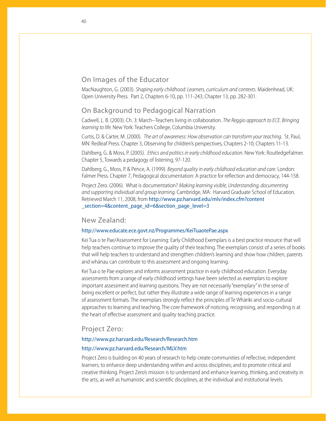#### On Images of the Educator

MacNaughton, G. (2003). *Shaping early childhood: Learners, curriculum and contexts.* Maidenhead, UK: Open University Press. Part 2, Chapters 6-10, pp. 111-243; Chapter 13, pp. 282-301.

#### On Background to Pedagogical Narration

Cadwell, L. B. (2003). Ch. 3: March--Teachers living in collaboration. *The Reggio approach to ECE. Bringing learning to life.* New York: Teachers College, Columbia University.

Curtis, D. & Carter, M. (2000). *The art of awareness: How observation can transform your teaching*. St. Paul, MN: Redleaf Press. Chapter 3, Observing for children's perspectives, Chapters 2-10; Chapters 11-13.

Dahlberg, G. & Moss, P. (2005). *Ethics and politics in early childhood education*. New York: RoutledgeFalmer. Chapter 5, Towards a pedagogy of listening, 97-120.

Dahlberg, G., Moss, P. & Pence, A. (1999). *Beyond quality in early childhood education and care.* London: Falmer Press. Chapter 7, Pedagogical documentation: A practice for reflection and democracy, 144-158.

Project Zero. (2006). What is documentation? *Making learning visible, Understanding, documenting and supporting individual and group learning.* Cambridge, MA: Harvard Graduate School of Education. Retrieved March 11, 2008, from http://www.pz.harvard.edu/mlv/index.cfm?content \_section=4&content\_page\_id=6&section\_page\_level=3

#### New Zealand:

#### http://www.educate.ece.govt.nz/Programmes/KeiTuaotePae.aspx

Kei Tua o te Pae/Assessment for Learning: Early Childhood Exemplars is a best practice resource that will help teachers continue to improve the quality of their teaching. The exemplars consist of a series of books that will help teachers to understand and strengthen children's learning and show how children, parents and whānau can contribute to this assessment and ongoing learning.

Kei Tua o te Pae explores and informs assessment practice in early childhood education. Everyday assessments from a range of early childhood settings have been selected as exemplars to explore important assessment and learning questions. They are not necessarily "exemplary" in the sense of being excellent or perfect, but rather they illustrate a wide range of learning experiences in a range of assessment formats. The exemplars strongly reflect the principles of Te Whāriki and socio-cultural approaches to learning and teaching. The core framework of noticing, recognising, and responding is at the heart of effective assessment and quality teaching practice.

#### Project Zero:

#### http://www.pz.harvard.edu/Research/Research.htm

#### http://www.pz.harvard.edu/Research/MLV.htm

Project Zero is building on 40 years of research to help create communities of reflective, independent learners; to enhance deep understanding within and across disciplines; and to promote critical and creative thinking. Project Zero's mission is to understand and enhance learning, thinking, and creativity in the arts, as well as humanistic and scientific disciplines, at the individual and institutional levels.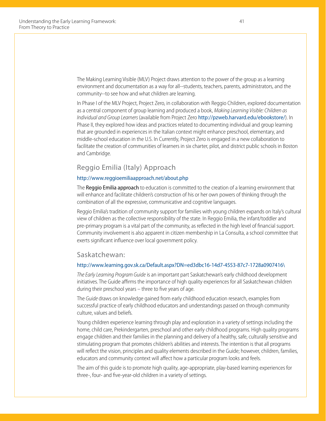The Making Learning Visible (MLV) Project draws attention to the power of the group as a learning environment and documentation as a way for all--students, teachers, parents, administrators, and the community--to see how and what children are learning.

In Phase I of the MLV Project, Project Zero, in collaboration with Reggio Children, explored documentation as a central component of group learning and produced a book, *Making Learning Visible: Children as Individual and Group Learners* (available from Project Zero http://pzweb.harvard.edu/ebookstore/). In Phase II, they explored how ideas and practices related to documenting individual and group learning that are grounded in experiences in the Italian context might enhance preschool, elementary, and middle-school education in the U.S. In Currently, Project Zero is engaged in a new collaboration to facilitate the creation of communities of learners in six charter, pilot, and district public schools in Boston and Cambridge.

#### Reggio Emilia (Italy) Approach

#### http://www.reggioemiliaapproach.net/about.php

The Reggio Emilia approach to education is committed to the creation of a learning environment that will enhance and facilitate children's construction of his or her own powers of thinking through the combination of all the expressive, communicative and cognitive languages.

Reggio Emilia's tradition of community support for families with young children expands on Italy's cultural view of children as the collective responsibility of the state. In Reggio Emilia, the infant/toddler and pre-primary program is a vital part of the community, as reflected in the high level of financial support. Community involvement is also apparent in citizen membership in La Consulta, a school committee that exerts significant influence over local government policy.

#### Saskatchewan:

#### http://www.learning.gov.sk.ca/Default.aspx?DN=ed3dbc16-14d7-4553-87c7-1728a0907416\

*The Early Learning Program Guide* is an important part Saskatchewan's early childhood development initiatives. The Guide affirms the importance of high quality experiences for all Saskatchewan children during their preschool years – three to five years of age.

The *Guide* draws on knowledge gained from early childhood education research, examples from successful practice of early childhood educators and understandings passed on through community culture, values and beliefs.

Young children experience learning through play and exploration in a variety of settings including the home, child care, Prekindergarten, preschool and other early childhood programs. High quality programs engage children and their families in the planning and delivery of a healthy, safe, culturally sensitive and stimulating program that promotes children's abilities and interests. The intention is that all programs will reflect the vision, principles and quality elements described in the Guide; however, children, families, educators and community context will affect how a particular program looks and feels.

The aim of this guide is to promote high quality, age-appropriate, play-based learning experiences for three-, four- and five-year-old children in a variety of settings.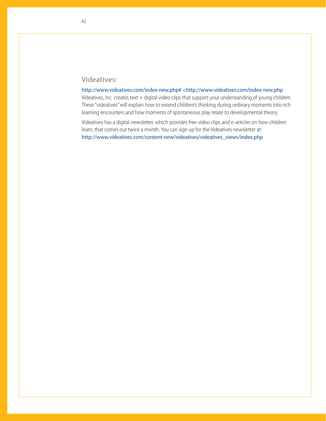#### Videatives:

http://www.videatives.com/index-new.php# <http://www.videatives.com/index-new.php

Videatives, Inc. creates text + digital video clips that support your understanding of young children. These "videatives" will explain how to extend children's thinking during ordinary moments into rich learning encounters and how moments of spontaneous play relate to developmental theory.

Videatives has a digital newsletter, which provides free video clips and e-articles on how children learn, that comes out twice a month. You can sign up for the Videatives newsletter at: http://www.videatives.com/content-new/videatives/videatives\_views/index.php